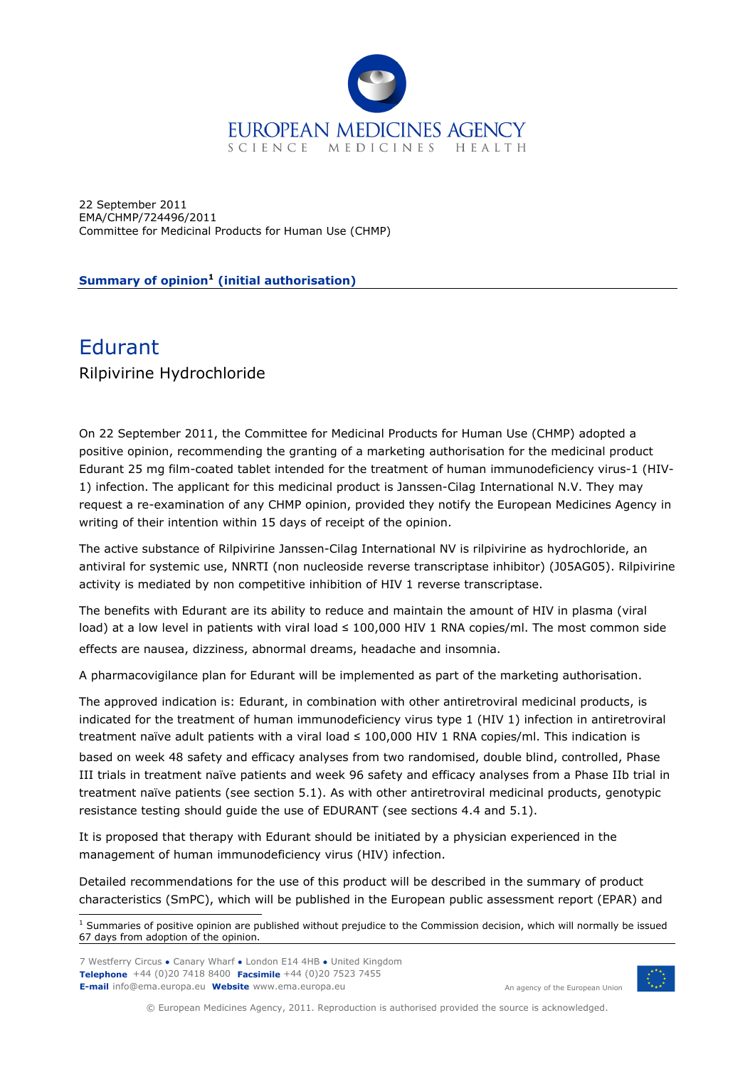

22 September 2011 EMA/CHMP/724496/2011 Committee for Medicinal Products for Human Use (CHMP)

**Summary of opinion[1](#page-0-0) (initial authorisation)**

## Edurant Rilpivirine Hydrochloride

On 22 September 2011, the Committee for Medicinal Products for Human Use (CHMP) adopted a positive opinion, recommending the granting of a marketing authorisation for the medicinal product Edurant 25 mg film-coated tablet intended for the treatment of human immunodeficiency virus-1 (HIV-1) infection. The applicant for this medicinal product is Janssen-Cilag International N.V. They may request a re-examination of any CHMP opinion, provided they notify the European Medicines Agency in writing of their intention within 15 days of receipt of the opinion.

The active substance of Rilpivirine Janssen-Cilag International NV is rilpivirine as hydrochloride, an antiviral for systemic use, NNRTI (non nucleoside reverse transcriptase inhibitor) (J05AG05). Rilpivirine activity is mediated by non competitive inhibition of HIV 1 reverse transcriptase.

The benefits with Edurant are its ability to reduce and maintain the amount of HIV in plasma (viral load) at a low level in patients with viral load ≤ 100,000 HIV 1 RNA copies/ml. The most common side effects are nausea, dizziness, abnormal dreams, headache and insomnia.

A pharmacovigilance plan for Edurant will be implemented as part of the marketing authorisation.

The approved indication is: Edurant, in combination with other antiretroviral medicinal products, is indicated for the treatment of human immunodeficiency virus type 1 (HIV 1) infection in antiretroviral treatment naïve adult patients with a viral load ≤ 100,000 HIV 1 RNA copies/ml. This indication is based on week 48 safety and efficacy analyses from two randomised, double blind, controlled, Phase III trials in treatment naïve patients and week 96 safety and efficacy analyses from a Phase IIb trial in treatment naïve patients (see section 5.1). As with other antiretroviral medicinal products, genotypic resistance testing should guide the use of EDURANT (see sections 4.4 and 5.1).

It is proposed that therapy with Edurant should be initiated by a physician experienced in the management of human immunodeficiency virus (HIV) infection.

Detailed recommendations for the use of this product will be described in the summary of product characteristics (SmPC), which will be published in the European public assessment report (EPAR) and

7 Westferry Circus **●** Canary Wharf **●** London E14 4HB **●** United Kingdom **Telephone** +44 (0)20 7418 8400 **Facsimile** +44 (0)20 7523 7455 **E-mail** info@ema.europa.eu **Website** www.ema.europa.eu An agency of the European Union



© European Medicines Agency, 2011. Reproduction is authorised provided the source is acknowledged.

<span id="page-0-0"></span> 1 Summaries of positive opinion are published without prejudice to the Commission decision, which will normally be issued 67 days from adoption of the opinion.